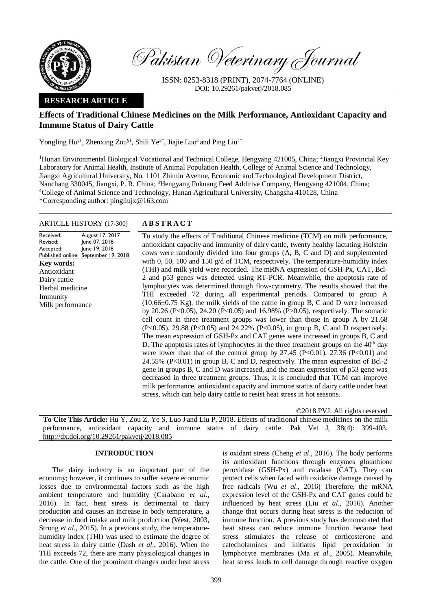

Pakistan Veterinary Journal

ISSN: 0253-8318 (PRINT), 2074-7764 (ONLINE) DOI: 10.29261/pakvetj/2018.085

# **RESEARCH ARTICLE**

# **Effects of Traditional Chinese Medicines on the Milk Performance, Antioxidant Capacity and Immune Status of Dairy Cattle**

Yongling Hu<sup>§1</sup>, Zhenxing Zou<sup>§1</sup>, Shili Ye<sup>2\*</sup>, Jiajie Luo<sup>3</sup> and Ping Liu<sup>4\*</sup>

<sup>1</sup>Hunan Environmental Biological Vocational and Technical College, Hengyang 421005, China; <sup>2</sup>Jiangxi Provincial Key Laboratory for Animal Health, Institute of Animal Population Health, College of Animal Science and Technology, Jiangxi Agricultural University, No. 1101 Zhimin Avenue, Economic and Technological Development District, Nanchang 330045, Jiangxi, P. R. China; <sup>3</sup>Hengyang Fukuang Feed Additive Company, Hengyang 421004, China; <sup>4</sup>College of Animal Science and Technology, Hunan Agricultural University, Changsha 410128, China \*Corresponding author: pingliujx@163.com

### ARTICLE HISTORY (17-300) **A B S T R A C T**

Received: Revised: Accepted: Published online: September 19, 2018 August 17, 2017 June 07, 2018 June 19, 2018 **Key words:**  Antioxidant Dairy cattle Herbal medicine Immunity Milk performance

To study the effects of Traditional Chinese medicine (TCM) on milk performance, antioxidant capacity and immunity of dairy cattle, twenty healthy lactating Holstein cows were randomly divided into four groups (A, B, C and D) and supplemented with 0, 50, 100 and 150  $g/d$  of TCM, respectively. The temperature-humidity index (THI) and milk yield were recorded. The mRNA expression of GSH-Px, CAT, Bcl-2 and p53 genes was detected using RT-PCR. Meanwhile, the apoptosis rate of lymphocytes was determined through flow-cytometry. The results showed that the THI exceeded 72 during all experimental periods. Compared to group A  $(10.66\pm0.75 \text{ Kg})$ , the milk yields of the cattle in group B, C and D were increased by 20.26 (P<0.05), 24.20 (P<0.05) and 16.98% (P>0.05), respectively. The somatic cell count in three treatment groups was lower than those in group A by 21.68 (P<0.05), 29.88 (P<0.05) and 24.22% (P<0.05), in group B, C and D respectively. The mean expression of GSH-Px and CAT genes were increased in groups B, C and D. The apoptosis rates of lymphocytes in the three treatment groups on the  $40<sup>th</sup>$  day were lower than that of the control group by  $27.45$  (P<0.01),  $27.36$  (P<0.01) and 24.55% (P<0.01) in group B, C and D, respectively. The mean expression of Bcl-2 gene in groups B, C and D was increased, and the mean expression of p53 gene was decreased in three treatment groups. Thus, it is concluded that TCM can improve milk performance, antioxidant capacity and immune status of dairy cattle under heat stress, which can help dairy cattle to resist heat stress in hot seasons.

©2018 PVJ. All rights reserved

**To Cite This Article:** Hu Y, Zou Z, Ye S, Luo J and Liu P, 2018. Effects of traditional chinese medicines on the milk performance, antioxidant capacity and immune status of dairy cattle. Pak Vet J, 38(4): 399-403. [http://dx.doi.org/10.29261/pakvetj/2018.085](http://pvj.com.pk/pdf-files/38_4/399-403.pdf)

### **INTRODUCTION**

The dairy industry is an important part of the economy; however, it continues to suffer severe economic losses due to environmental factors such as the high ambient temperature and humidity (Carabano *et al*., 2016). In fact, heat stress is detrimental to dairy production and causes an increase in body temperature, a decrease in food intake and milk production (West, 2003, Strong *et al*., 2015). In a previous study, the temperaturehumidity index (THI) was used to estimate the degree of heat stress in dairy cattle (Dash *et al*., 2016). When the THI exceeds 72, there are many physiological changes in the cattle. One of the prominent changes under heat stress is oxidant stress (Cheng *et al*., 2016). The body performs its antioxidant functions through enzymes glutathione peroxidase (GSH-Px) and catalase (CAT). They can protect cells when faced with oxidative damage caused by free radicals (Wu *et al*., 2016) Therefore, the mRNA expression level of the GSH-Px and CAT genes could be influenced by heat stress (Liu *et al*., 2016). Another change that occurs during heat stress is the reduction of immune function. A previous study has demonstrated that heat stress can reduce immune function because heat stress stimulates the release of corticosterone and catecholamines and initiates lipid peroxidation in lymphocyte membranes (Ma *et al*., 2005). Meanwhile, heat stress leads to cell damage through reactive oxygen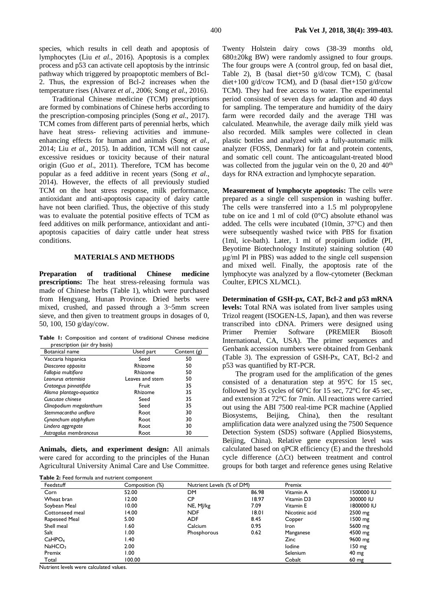species, which results in cell death and apoptosis of lymphocytes (Liu *et al*., 2016). Apoptosis is a complex process and p53 can activate cell apoptosis by the intrinsic pathway which triggered by proapoptotic members of Bcl-2. Thus, the expression of Bcl-2 increases when the temperature rises (Alvarez *et al*., 2006; Song *et al*., 2016).

Traditional Chinese medicine (TCM) prescriptions are formed by combinations of Chinese herbs according to the prescription-composing principles (Song *et al*., 2017). TCM comes from different parts of perennial herbs, which have heat stress- relieving activities and immuneenhancing effects for human and animals (Song *et al*., 2014; Liu *et al*., 2015). In addition, TCM will not cause excessive residues or toxicity because of their natural origin (Guo *et al*., 2011). Therefore, TCM has become popular as a feed additive in recent years (Song *et al*., 2014). However, the effects of all previously studied TCM on the heat stress response, milk performance, antioxidant and anti-apoptosis capacity of dairy cattle have not been clarified. Thus, the objective of this study was to evaluate the potential positive effects of TCM as feed additives on milk performance, antioxidant and antiapoptosis capacities of dairy cattle under heat stress conditions.

## **MATERIALS AND METHODS**

**Preparation of traditional Chinese medicine prescriptions:** The heat stress-releasing formula was made of Chinese herbs (Table 1), which were purchased from Hengyang, Hunan Province. Dried herbs were mixed, crushed, and passed through a 3~5mm screen sieve, and then given to treatment groups in dosages of 0, 50, 100, 150 g/day/cow.

**Table 1:** Composition and content of traditional Chinese medicine prescription (air dry basis)

| Botanical name           | Used part       | Content (g) |
|--------------------------|-----------------|-------------|
| Vaccaria hispanica       | Seed            | 50          |
| Dioscorea opposita       | Rhizome         | 50          |
| Fallopia multifiora      | Rhizome         | 50          |
| Leonurus artemisia       | Leaves and stem | 50          |
| Crataegus pinnatifida    | Fruit           | 35          |
| Alisma plantago-aquatica | Rhizome         | 35          |
| Cuscutae chinese         | Seed            | 35          |
| Clinopodium megalanthum  | Seed            | 35          |
| Stemmacantha uniflora    | Root            | 30          |
| Cynanchum otophyllum     | Root            | 30          |
| Lindera aggregate        | Root            | 30          |
| Astragalus membranceus   | Root            | 30          |

**Animals, diets, and experiment design:** All animals were cared for according to the principles of the Hunan Agricultural University Animal Care and Use Committee.

|  |  |  |  |  | Table 2: Feed formula and nutrient component |
|--|--|--|--|--|----------------------------------------------|
|--|--|--|--|--|----------------------------------------------|

Twenty Holstein dairy cows (38-39 months old, 680±20kg BW) were randomly assigned to four groups. The four groups were A (control group, fed on basal diet, Table 2), B (basal diet+50 g/d/cow TCM), C (basal diet+100 g/d/cow TCM), and D (basal diet+150 g/d/cow TCM). They had free access to water. The experimental period consisted of seven days for adaption and 40 days for sampling. The temperature and humidity of the dairy farm were recorded daily and the average THI was calculated. Meanwhile, the average daily milk yield was also recorded. Milk samples were collected in clean plastic bottles and analyzed with a fully-automatic milk analyzer (FOSS, Denmark) for fat and protein contents, and somatic cell count. The anticoagulant-treated blood was collected from the jugular vein on the 0, 20 and  $40<sup>th</sup>$ days for RNA extraction and lymphocyte separation.

**Measurement of lymphocyte apoptosis:** The cells were prepared as a single cell suspension in washing buffer. The cells were transferred into a 1.5 ml polypropylene tube on ice and 1 ml of cold  $(0^{\circ}C)$  absolute ethanol was added. The cells were incubated (10min, 37°C) and then were subsequently washed twice with PBS for fixation (1ml, ice-bath). Later, 1 ml of propidium iodide (PI, Beyotime Biotechnology Institute) staining solution (40 μg/ml PI in PBS) was added to the single cell suspension and mixed well. Finally, the apoptosis rate of the lymphocyte was analyzed by a flow-cytometer (Beckman Coulter, EPICS XL/MCL).

**Determination of GSH-px, CAT, Bcl-2 and p53 mRNA levels:** Total RNA was isolated from liver samples using Trizol reagent (ISOGEN-LS, Japan), and then was reverse transcribed into cDNA. Primers were designed using Primer Premier Software (PREMIER Biosoft International, CA, USA). The primer sequences and Genbank accession numbers were obtained from Genbank (Table 3). The expression of GSH-Px, CAT, Bcl-2 and p53 was quantified by RT-PCR.

The program used for the amplification of the genes consisted of a denaturation step at 95°C for 15 sec, followed by 35 cycles of 60 $\degree$ C for 15 sec, 72 $\degree$ C for 45 sec, and extension at 72°C for 7min. All reactions were carried out using the ABI 7500 real-time PCR machine (Applied Biosystems, Beijing, China), then the resultant amplification data were analyzed using the 7500 Sequence Detection System (SDS) software (Applied Biosystems, Beijing, China). Relative gene expression level was calculated based on qPCR efficiency (E) and the threshold cycle difference  $(\triangle Ct)$  between treatment and control groups for both target and reference genes using Relative

| Feedstuff          | Composition (%) | Nutrient Levels (% of DM) |       | Premix         |                   |
|--------------------|-----------------|---------------------------|-------|----------------|-------------------|
| Corn               | 52.00           | DM                        | 86.98 | Vitamin A      | <b>IS00000 IU</b> |
| Wheat bran         | 12.00           | <b>CP</b>                 | 18.97 | Vitamin D3     | 300000 IU         |
| Soybean Meal       | 10.00           | NE, MJ/kg                 | 7.09  | Vitamin E      | 1800000 IU        |
| Cottonseed meal    | 14.00           | <b>NDF</b>                | 18.01 | Nicotinic acid | $2500$ mg         |
| Rapeseed Meal      | 5.00            | <b>ADF</b>                | 8.45  | Copper         | 1500 mg           |
| Shell meal         | 60. ا           | Calcium                   | 0.95  | Iron           | 5600 mg           |
| Salt               | 00. ا           | Phosphorous               | 0.62  | Manganese      | 4500 mg           |
| CaHPO <sub>4</sub> | 40. ا           |                           |       | <b>Zinc</b>    | 9600 mg           |
| NaHCO <sub>3</sub> | 2.00            |                           |       | lodine         | $150 \text{ mg}$  |
| Premix             | 1.00            |                           |       | Selenium       | $40 \text{ mg}$   |
| Total              | 100.00          |                           |       | Cobalt         | $60 \text{ mg}$   |

Nutrient levels were calculated values.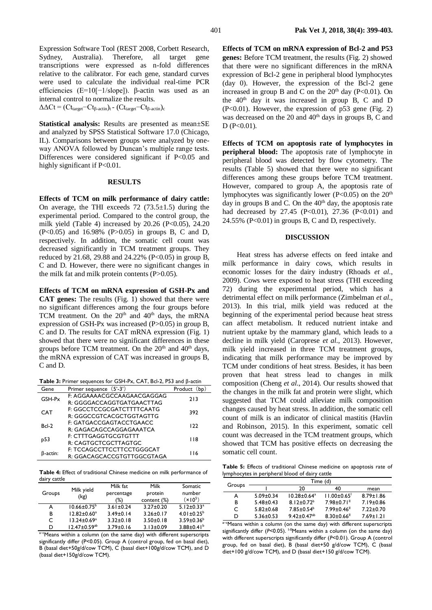$\Delta \Delta \text{C} t = (\text{C} t_{\text{target}} - \text{C} t_{\beta\text{-actin}})_t - (\text{C} t_{\text{target}} - \text{C} t_{\beta\text{-actin}})_c$ 

**Statistical analysis:** Results are presented as mean±SE and analyzed by SPSS Statistical Software 17.0 (Chicago, IL). Comparisons between groups were analyzed by oneway ANOVA followed by Duncan's multiple range tests. Differences were considered significant if P<0.05 and highly significant if P<0.01.

#### **RESULTS**

**Effects of TCM on milk performance of dairy cattle:**  On average, the THI exceeds  $72$  ( $73.5\pm1.5$ ) during the experimental period. Compared to the control group, the milk yield (Table 4) increased by  $20.26$  (P<0.05),  $24.20$ (P<0.05) and 16.98% (P>0.05) in groups B, C and D, respectively. In addition, the somatic cell count was decreased significantly in TCM treatment groups. They reduced by 21.68, 29.88 and 24.22% (P<0.05) in group B, C and D. However, there were no significant changes in the milk fat and milk protein contents (P>0.05).

**Effects of TCM on mRNA expression of GSH-Px and CAT genes:** The results (Fig. 1) showed that there were no significant differences among the four groups before TCM treatment. On the  $20<sup>th</sup>$  and  $40<sup>th</sup>$  days, the mRNA expression of GSH-Px was increased  $(P>0.05)$  in group B, C and D. The results for CAT mRNA expression (Fig. 1) showed that there were no significant differences in these groups before TCM treatment. On the  $20<sup>th</sup>$  and  $40<sup>th</sup>$  days, the mRNA expression of CAT was increased in groups B, C and D.

| <b>Table 3:</b> Primer sequences for GSH-Px, CAT, Bcl-2, P53 and $\beta$ -actin |  |  |
|---------------------------------------------------------------------------------|--|--|
|---------------------------------------------------------------------------------|--|--|

| Gene       | Primer sequence (5'-3')    | Product    |  |
|------------|----------------------------|------------|--|
| GSH-Px     | F: AGGAAAACGCCAAGAACGAGGAG | 213        |  |
|            | R: GGGGACCAGGTGATGAACTTAG  |            |  |
| <b>CAT</b> | F: GGCCTCCGCGATCTTTTCAATG  | 392        |  |
|            | R: GGGCCGTCACGCTGGTAGTTG   |            |  |
| Bcl-2      | F: GATGACCGAGTACCTGAACC    | 122        |  |
|            | R: GAGACAGCCAGGAGAAATCA    |            |  |
| p53        | F: CTTTGAGGTGCGTGTTT       | 118        |  |
|            | R: CAGTGCTCGCTTAGTGC       |            |  |
|            | F: TCCAGCCTTCCTTCCTGGGCAT  | <b>116</b> |  |
| B-actin:   | R: GGACAGCACCGTGTTGGCGTAGA |            |  |

**Table 4:** Effect of traditional Chinese medicine on milk performance of dairy cattle

| Groups | Milk yield<br>(kg)       | Milk fat<br>percentage<br>(%) | Milk<br>protein<br>content (%) | Somatic<br>number<br>$(x 0^5)$ |
|--------|--------------------------|-------------------------------|--------------------------------|--------------------------------|
| А      | $10.66 \pm 0.75^{\circ}$ | $3.61 \pm 0.24$               | $3.27 \pm 0.20$                | $5.12 \pm 0.33$ <sup>a</sup>   |
| в      | $12.82 \pm 0.60^a$       | $3.49 \pm 0.14$               | $3.26 \pm 0.17$                | $4.01 \pm 0.25^b$              |
| C      | $13.24 \pm 0.69^a$       | $3.32 \pm 0.18$               | $3.50 \pm 0.18$                | $3.59 \pm 0.36^b$              |
| D      | $12.47 \pm 0.59^{ab}$    | $3.79 \pm 0.16$               | $3.13 \pm 0.09$                | $3.88 \pm 0.41^b$              |

a-cMeans within a column (on the same day) with different superscripts significantly differ (P<0.05). Group A (control group, fed on basal diet), B (basal diet+50g/d/cow TCM), C (basal diet+100g/d/cow TCM), and D (basal diet+150g/d/cow TCM).

**Effects of TCM on mRNA expression of Bcl-2 and P53 genes:** Before TCM treatment, the results (Fig. 2) showed that there were no significant differences in the mRNA expression of Bcl-2 gene in peripheral blood lymphocytes (day 0). However, the expression of the Bcl-2 gene increased in group B and C on the  $20<sup>th</sup>$  day (P<0.01). On the  $40<sup>th</sup>$  day it was increased in group B, C and D  $(P<0.01)$ . However, the expression of p53 gene (Fig. 2) was decreased on the 20 and 40<sup>th</sup> days in groups B, C and  $D (P<0.01)$ .

**Effects of TCM on apoptosis rate of lymphocytes in peripheral blood:** The apoptosis rate of lymphocyte in peripheral blood was detected by flow cytometry. The results (Table 5) showed that there were no significant differences among these groups before TCM treatment. However, compared to group A, the apoptosis rate of lymphocytes was significantly lower ( $P<0.05$ ) on the  $20<sup>th</sup>$ day in groups  $B$  and  $C$ . On the  $40<sup>th</sup>$  day, the apoptosis rate had decreased by  $27.45$  (P<0.01),  $27.36$  (P<0.01) and 24.55% ( $P<0.01$ ) in groups B, C and D, respectively.

### **DISCUSSION**

Heat stress has adverse effects on feed intake and milk performance in dairy cows, which results in economic losses for the dairy industry (Rhoads *et al*., 2009). Cows were exposed to heat stress (THI exceeding 72) during the experimental period, which has a detrimental effect on milk performance (Zimbelman *et al*., 2013). In this trial, milk yield was reduced at the beginning of the experimental period because heat stress can affect metabolism. It reduced nutrient intake and nutrient uptake by the mammary gland, which leads to a decline in milk yield (Caroprese *et al*., 2013). However, milk yield increased in three TCM treatment groups, indicating that milk performance may be improved by TCM under conditions of heat stress. Besides, it has been proven that heat stress lead to changes in milk composition (Cheng *et al*., 2014). Our results showed that the changes in the milk fat and protein were slight, which suggested that TCM could alleviate milk composition changes caused by heat stress. In addition, the somatic cell count of milk is an indicator of clinical mastitis (Havlin and Robinson, 2015). In this experiment, somatic cell count was decreased in the TCM treatment groups, which showed that TCM has positive effects on decreasing the somatic cell count.

**Table 5:** Effects of traditional Chinese medicine on apoptosis rate of lymphocytes in peripheral blood of dairy cattle

|        |                 |                      | Time (d)                      |                 |
|--------|-----------------|----------------------|-------------------------------|-----------------|
| Groups |                 | 20                   | 40                            | mean            |
| А      | $5.09 \pm 0.34$ | $10.28 \pm 0.64^a$   | $11.00 \pm 0.65$ <sup>1</sup> | $8.79 \pm 1.86$ |
| B      | $5.48 \pm 0.43$ | $8.12 + 0.72^b$      | $7.98 \pm 0.71$ <sup>II</sup> | $7.19 \pm 0.86$ |
| C      | $5.82 \pm 0.68$ | $7.85 + 0.54^b$      | $7.99 + 0.46$                 | $7.22 \pm 0.70$ |
| D      | $5.36 \pm 0.53$ | $9.42 \pm 0.47^{ab}$ | $8.30 \pm 0.66$ <sup>11</sup> | $7.69 \pm 1.21$ |

a-cMeans within a column (on the same day) with different superscripts significantly differ  $(P< 0.05)$ . <sup>I-II</sup>Means within a column (on the same day) with different superscripts significantly differ (*P*<0.01). Group A (control group, fed on basal diet), B (basal diet+50 g/d/cow TCM), C (basal diet+100 g/d/cow TCM), and D (basal diet+150 g/d/cow TCM).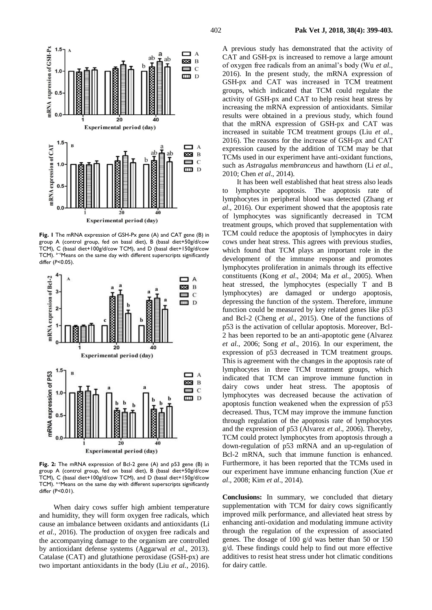

**Fig. 1** The mRNA expression of GSH-Px gene (A) and CAT gene (B) in group A (control group, fed on basal diet), B (basal diet+50g/d/cow TCM), C (basal diet+100g/d/cow TCM), and D (basal diet+150g/d/cow TCM). <sup>a-c</sup>Means on the same day with different superscripts significantly differ (*P*<0.05).



**Fig. 2:** The mRNA expression of Bcl-2 gene (A) and p53 gene (B) in group A (control group, fed on basal diet), B (basal diet+50g/d/cow TCM), C (basal diet+100g/d/cow TCM), and D (basal diet+150g/d/cow TCM). a-cMeans on the same day with different superscripts significantly differ (P<0.01).

When dairy cows suffer high ambient temperature and humidity, they will form oxygen free radicals, which cause an imbalance between oxidants and antioxidants (Li *et al*., 2016). The production of oxygen free radicals and the accompanying damage to the organism are controlled by antioxidant defense systems (Aggarwal *et al*., 2013). Catalase (CAT) and glutathione peroxidase (GSH-px) are two important antioxidants in the body (Liu *et al*., 2016).

A previous study has demonstrated that the activity of CAT and GSH-px is increased to remove a large amount of oxygen free radicals from an animal's body (Wu *et al*., 2016). In the present study, the mRNA expression of GSH-px and CAT was increased in TCM treatment groups, which indicated that TCM could regulate the activity of GSH-px and CAT to help resist heat stress by increasing the mRNA expression of antioxidants. Similar results were obtained in a previous study, which found that the mRNA expression of GSH-px and CAT was increased in suitable TCM treatment groups (Liu *et al*., 2016). The reasons for the increase of GSH-px and CAT expression caused by the addition of TCM may be that TCMs used in our experiment have anti-oxidant functions, such as *Astragalus membranceus* and hawthorn (Li *et al*., 2010; Chen *et al*., 2014).

It has been well established that heat stress also leads to lymphocyte apoptosis. The apoptosis rate of lymphocytes in peripheral blood was detected (Zhang *et al*., 2016). Our experiment showed that the apoptosis rate of lymphocytes was significantly decreased in TCM treatment groups, which proved that supplementation with TCM could reduce the apoptosis of lymphocytes in dairy cows under heat stress. This agrees with previous studies, which found that TCM plays an important role in the development of the immune response and promotes lymphocytes proliferation in animals through its effective constituents (Kong *et al*., 2004; Ma *et al*., 2005). When heat stressed, the lymphocytes (especially T and B lymphocytes) are damaged or undergo apoptosis, depressing the function of the system. Therefore, immune function could be measured by key related genes like p53 and Bcl-2 (Cheng *et al*., 2015). One of the functions of p53 is the activation of cellular apoptosis. Moreover, Bcl-2 has been reported to be an anti-apoptotic gene (Alvarez *et al*., 2006; Song *et al*., 2016). In our experiment, the expression of p53 decreased in TCM treatment groups. This is agreement with the changes in the apoptosis rate of lymphocytes in three TCM treatment groups, which indicated that TCM can improve immune function in dairy cows under heat stress. The apoptosis of lymphocytes was decreased because the activation of apoptosis function weakened when the expression of p53 decreased. Thus, TCM may improve the immune function through regulation of the apoptosis rate of lymphocytes and the expression of p53 (Alvarez *et al*., 2006). Thereby, TCM could protect lymphocytes from apoptosis through a down-regulation of p53 mRNA and an up-regulation of Bcl-2 mRNA, such that immune function is enhanced. Furthermore, it has been reported that the TCMs used in our experiment have immune enhancing function (Xue *et al*., 2008; Kim *et al*., 2014).

**Conclusions:** In summary, we concluded that dietary supplementation with TCM for dairy cows significantly improved milk performance, and alleviated heat stress by enhancing anti-oxidation and modulating immune activity through the regulation of the expression of associated genes. The dosage of 100 g/d was better than 50 or 150 g/d. These findings could help to find out more effective additives to resist heat stress under hot climatic conditions for dairy cattle.